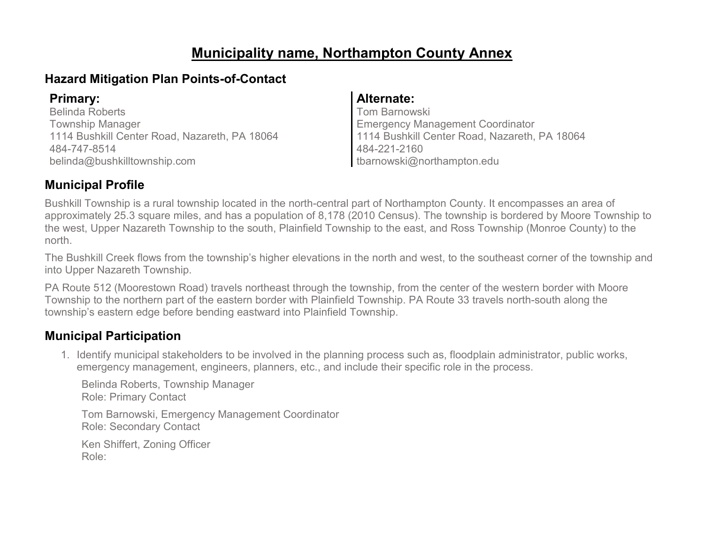# **Municipality name, Northampton County Annex**

# **Hazard Mitigation Plan Points-of-Contact**

Belinda Roberts Township Manager 1114 Bushkill Center Road, Nazareth, PA 18064 484-747-8514 belinda@bushkilltownship.com

### **Primary: Alternate:**

Tom Barnowski Emergency Management Coordinator 1114 Bushkill Center Road, Nazareth, PA 18064 484-221-2160 tbarnowski@northampton.edu

## **Municipal Profile**

Bushkill Township is a rural township located in the north-central part of Northampton County. It encompasses an area of approximately 25.3 square miles, and has a population of 8,178 (2010 Census). The township is bordered by Moore Township to the west, Upper Nazareth Township to the south, Plainfield Township to the east, and Ross Township (Monroe County) to the north.

The Bushkill Creek flows from the township's higher elevations in the north and west, to the southeast corner of the township and into Upper Nazareth Township.

PA Route 512 (Moorestown Road) travels northeast through the township, from the center of the western border with Moore Township to the northern part of the eastern border with Plainfield Township. PA Route 33 travels north-south along the township's eastern edge before bending eastward into Plainfield Township.

### **Municipal Participation**

1. Identify municipal stakeholders to be involved in the planning process such as, floodplain administrator, public works, emergency management, engineers, planners, etc., and include their specific role in the process.

Belinda Roberts, Township Manager Role: Primary Contact

Tom Barnowski, Emergency Management Coordinator Role: Secondary Contact

Ken Shiffert, Zoning Officer Role: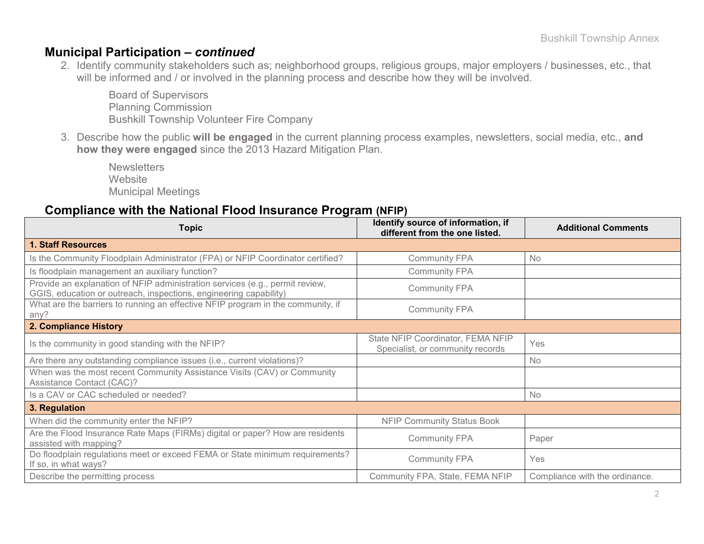### **Municipal Participation –** *continued*

2. Identify community stakeholders such as; neighborhood groups, religious groups, major employers / businesses, etc., that will be informed and / or involved in the planning process and describe how they will be involved.

Board of Supervisors Planning Commission Bushkill Township Volunteer Fire Company

3. Describe how the public **will be engaged** in the current planning process examples, newsletters, social media, etc., **and how they were engaged** since the 2013 Hazard Mitigation Plan.

**Newsletters Website** Municipal Meetings

### **Compliance with the National Flood Insurance Program (NFIP)**

| <b>Topic</b>                                                                                                                                      | Identify source of information, if<br>different from the one listed.  | <b>Additional Comments</b>     |  |  |
|---------------------------------------------------------------------------------------------------------------------------------------------------|-----------------------------------------------------------------------|--------------------------------|--|--|
| <b>1. Staff Resources</b>                                                                                                                         |                                                                       |                                |  |  |
| Is the Community Floodplain Administrator (FPA) or NFIP Coordinator certified?                                                                    | <b>Community FPA</b>                                                  | No                             |  |  |
| Is floodplain management an auxiliary function?                                                                                                   | <b>Community FPA</b>                                                  |                                |  |  |
| Provide an explanation of NFIP administration services (e.g., permit review,<br>GGIS, education or outreach, inspections, engineering capability) | <b>Community FPA</b>                                                  |                                |  |  |
| What are the barriers to running an effective NFIP program in the community, if<br>any?                                                           | <b>Community FPA</b>                                                  |                                |  |  |
| 2. Compliance History                                                                                                                             |                                                                       |                                |  |  |
| Is the community in good standing with the NFIP?                                                                                                  | State NFIP Coordinator, FEMA NFIP<br>Specialist, or community records | Yes                            |  |  |
| Are there any outstanding compliance issues (i.e., current violations)?                                                                           |                                                                       | <b>No</b>                      |  |  |
| When was the most recent Community Assistance Visits (CAV) or Community<br>Assistance Contact (CAC)?                                              |                                                                       |                                |  |  |
| Is a CAV or CAC scheduled or needed?                                                                                                              |                                                                       | No                             |  |  |
| 3. Regulation                                                                                                                                     |                                                                       |                                |  |  |
| When did the community enter the NFIP?                                                                                                            | <b>NFIP Community Status Book</b>                                     |                                |  |  |
| Are the Flood Insurance Rate Maps (FIRMs) digital or paper? How are residents<br>assisted with mapping?                                           | <b>Community FPA</b>                                                  | Paper                          |  |  |
| Do floodplain regulations meet or exceed FEMA or State minimum requirements?<br>If so, in what ways?                                              | <b>Community FPA</b>                                                  | Yes                            |  |  |
| Describe the permitting process                                                                                                                   | Community FPA, State, FEMA NFIP                                       | Compliance with the ordinance. |  |  |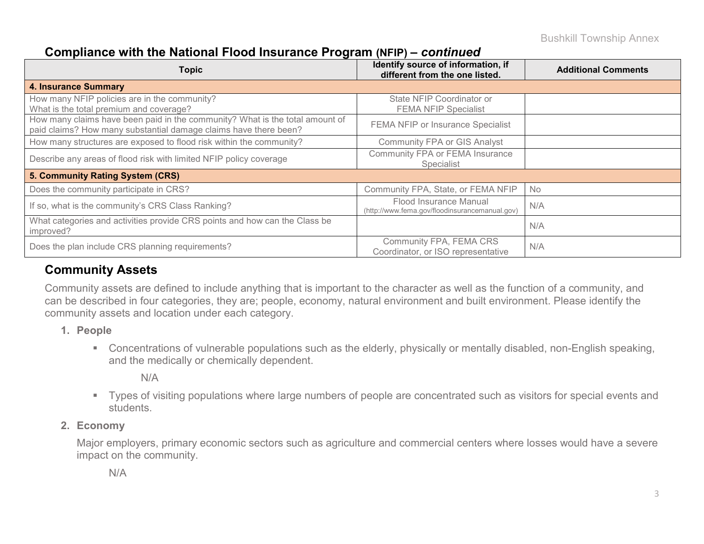### **Compliance with the National Flood Insurance Program (NFIP) –** *continued*

| <b>Topic</b>                                                                                                                                     | Identify source of information, if<br>different from the one listed.     | <b>Additional Comments</b> |
|--------------------------------------------------------------------------------------------------------------------------------------------------|--------------------------------------------------------------------------|----------------------------|
| <b>4. Insurance Summary</b>                                                                                                                      |                                                                          |                            |
| How many NFIP policies are in the community?<br>What is the total premium and coverage?                                                          | State NFIP Coordinator or<br><b>FEMA NFIP Specialist</b>                 |                            |
| How many claims have been paid in the community? What is the total amount of<br>paid claims? How many substantial damage claims have there been? | FEMA NFIP or Insurance Specialist                                        |                            |
| How many structures are exposed to flood risk within the community?                                                                              | Community FPA or GIS Analyst                                             |                            |
| Describe any areas of flood risk with limited NFIP policy coverage                                                                               | Community FPA or FEMA Insurance<br>Specialist                            |                            |
| 5. Community Rating System (CRS)                                                                                                                 |                                                                          |                            |
| Does the community participate in CRS?                                                                                                           | Community FPA, State, or FEMA NFIP                                       | <b>No</b>                  |
| If so, what is the community's CRS Class Ranking?                                                                                                | Flood Insurance Manual<br>(http://www.fema.gov/floodinsurancemanual.gov) | N/A                        |
| What categories and activities provide CRS points and how can the Class be<br>improved?                                                          |                                                                          | N/A                        |
| Does the plan include CRS planning requirements?                                                                                                 | Community FPA, FEMA CRS<br>Coordinator, or ISO representative            | N/A                        |

### **Community Assets**

Community assets are defined to include anything that is important to the character as well as the function of a community, and can be described in four categories, they are; people, economy, natural environment and built environment. Please identify the community assets and location under each category.

- **1. People**
	- Concentrations of vulnerable populations such as the elderly, physically or mentally disabled, non-English speaking, and the medically or chemically dependent.

N/A

 Types of visiting populations where large numbers of people are concentrated such as visitors for special events and students.

#### **2. Economy**

Major employers, primary economic sectors such as agriculture and commercial centers where losses would have a severe impact on the community.

N/A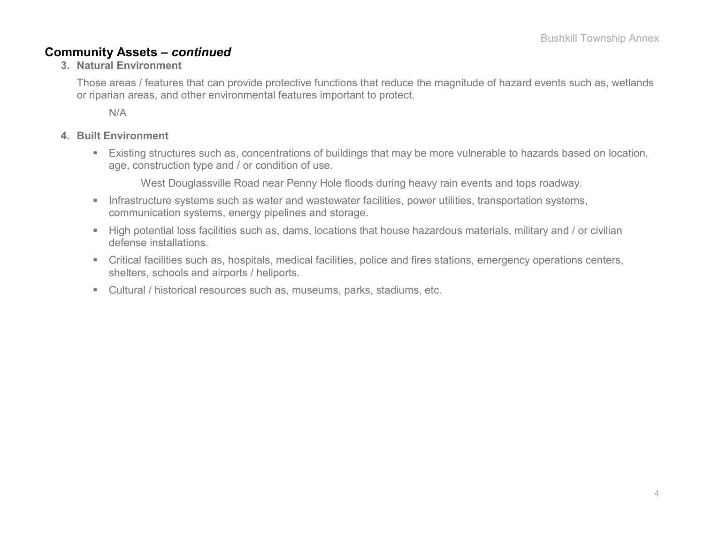### **Community Assets –** *continued*

#### **3. Natural Environment**

Those areas / features that can provide protective functions that reduce the magnitude of hazard events such as, wetlands or riparian areas, and other environmental features important to protect.

N/A

#### **4. Built Environment**

 Existing structures such as, concentrations of buildings that may be more vulnerable to hazards based on location, age, construction type and / or condition of use.

West Douglassville Road near Penny Hole floods during heavy rain events and tops roadway.

- **Infrastructure systems such as water and wastewater facilities, power utilities, transportation systems,** communication systems, energy pipelines and storage.
- High potential loss facilities such as, dams, locations that house hazardous materials, military and / or civilian defense installations.
- Critical facilities such as, hospitals, medical facilities, police and fires stations, emergency operations centers, shelters, schools and airports / heliports.
- Cultural / historical resources such as, museums, parks, stadiums, etc.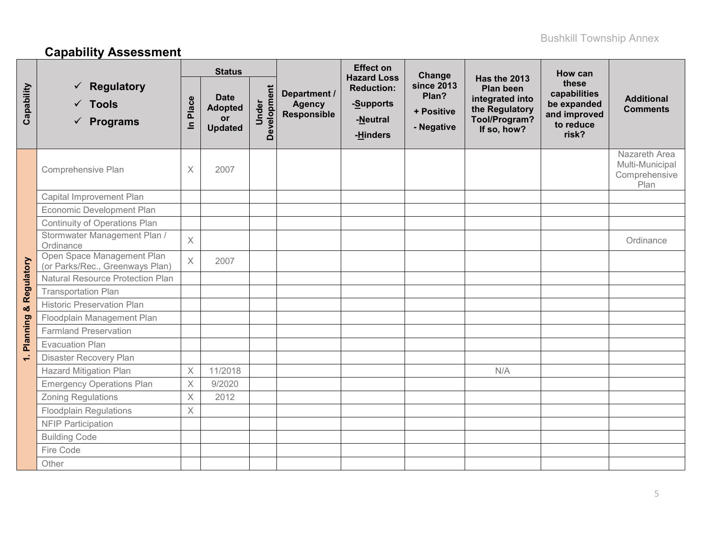# **Capability Assessment**

|              |                                                               |             | <b>Status</b>                                                |                      |                                                     | <b>Effect on</b><br><b>Hazard Loss</b>                 | Change                                                 |                                                                                                              | How can                                                                    |                                                           |
|--------------|---------------------------------------------------------------|-------------|--------------------------------------------------------------|----------------------|-----------------------------------------------------|--------------------------------------------------------|--------------------------------------------------------|--------------------------------------------------------------------------------------------------------------|----------------------------------------------------------------------------|-----------------------------------------------------------|
| Capability   | Regulatory<br>$\checkmark$ Tools<br>$\checkmark$ Programs     | Place<br>르  | <b>Date</b><br><b>Adopted</b><br><b>or</b><br><b>Updated</b> | Development<br>Under | Department /<br><b>Agency</b><br><b>Responsible</b> | <b>Reduction:</b><br>-Supports<br>-Neutral<br>-Hinders | <b>since 2013</b><br>Plan?<br>+ Positive<br>- Negative | Has the 2013<br><b>Plan been</b><br>integrated into<br>the Regulatory<br><b>Tool/Program?</b><br>If so, how? | these<br>capabilities<br>be expanded<br>and improved<br>to reduce<br>risk? | <b>Additional</b><br><b>Comments</b>                      |
|              | Comprehensive Plan                                            | $\mathsf X$ | 2007                                                         |                      |                                                     |                                                        |                                                        |                                                                                                              |                                                                            | Nazareth Area<br>Multi-Municipal<br>Comprehensive<br>Plan |
|              | Capital Improvement Plan                                      |             |                                                              |                      |                                                     |                                                        |                                                        |                                                                                                              |                                                                            |                                                           |
|              | Economic Development Plan                                     |             |                                                              |                      |                                                     |                                                        |                                                        |                                                                                                              |                                                                            |                                                           |
|              | Continuity of Operations Plan                                 |             |                                                              |                      |                                                     |                                                        |                                                        |                                                                                                              |                                                                            |                                                           |
| & Regulatory | Stormwater Management Plan /<br>Ordinance                     | $\times$    |                                                              |                      |                                                     |                                                        |                                                        |                                                                                                              |                                                                            | Ordinance                                                 |
|              | Open Space Management Plan<br>(or Parks/Rec., Greenways Plan) | $\times$    | 2007                                                         |                      |                                                     |                                                        |                                                        |                                                                                                              |                                                                            |                                                           |
|              | <b>Natural Resource Protection Plan</b>                       |             |                                                              |                      |                                                     |                                                        |                                                        |                                                                                                              |                                                                            |                                                           |
|              | <b>Transportation Plan</b>                                    |             |                                                              |                      |                                                     |                                                        |                                                        |                                                                                                              |                                                                            |                                                           |
|              | <b>Historic Preservation Plan</b>                             |             |                                                              |                      |                                                     |                                                        |                                                        |                                                                                                              |                                                                            |                                                           |
|              | Floodplain Management Plan                                    |             |                                                              |                      |                                                     |                                                        |                                                        |                                                                                                              |                                                                            |                                                           |
| Planning     | <b>Farmland Preservation</b>                                  |             |                                                              |                      |                                                     |                                                        |                                                        |                                                                                                              |                                                                            |                                                           |
|              | <b>Evacuation Plan</b>                                        |             |                                                              |                      |                                                     |                                                        |                                                        |                                                                                                              |                                                                            |                                                           |
| $\div$       | Disaster Recovery Plan                                        |             |                                                              |                      |                                                     |                                                        |                                                        |                                                                                                              |                                                                            |                                                           |
|              | <b>Hazard Mitigation Plan</b>                                 | $\mathsf X$ | 11/2018                                                      |                      |                                                     |                                                        |                                                        | N/A                                                                                                          |                                                                            |                                                           |
|              | <b>Emergency Operations Plan</b>                              | $\mathsf X$ | 9/2020                                                       |                      |                                                     |                                                        |                                                        |                                                                                                              |                                                                            |                                                           |
|              | <b>Zoning Regulations</b>                                     | X           | 2012                                                         |                      |                                                     |                                                        |                                                        |                                                                                                              |                                                                            |                                                           |
|              | <b>Floodplain Regulations</b>                                 | X           |                                                              |                      |                                                     |                                                        |                                                        |                                                                                                              |                                                                            |                                                           |
|              | <b>NFIP Participation</b>                                     |             |                                                              |                      |                                                     |                                                        |                                                        |                                                                                                              |                                                                            |                                                           |
|              | <b>Building Code</b>                                          |             |                                                              |                      |                                                     |                                                        |                                                        |                                                                                                              |                                                                            |                                                           |
|              | Fire Code                                                     |             |                                                              |                      |                                                     |                                                        |                                                        |                                                                                                              |                                                                            |                                                           |
|              | Other                                                         |             |                                                              |                      |                                                     |                                                        |                                                        |                                                                                                              |                                                                            |                                                           |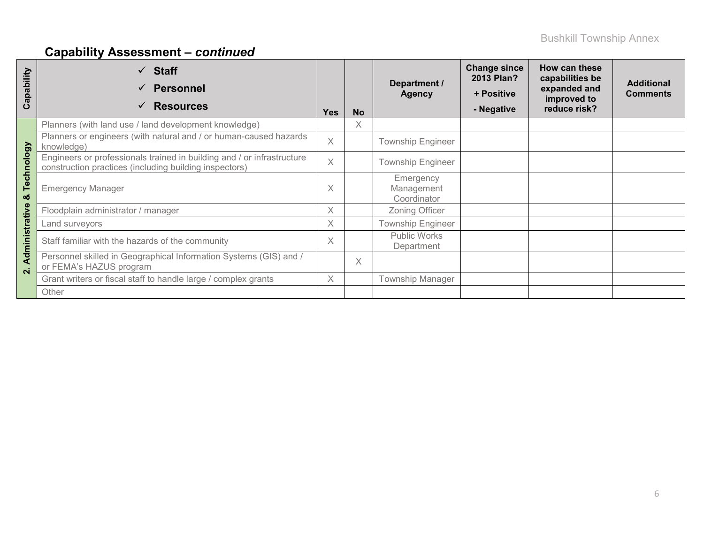# **Capability Assessment –** *continued*

| apability<br>ပ          | <b>Staff</b><br><b>Personnel</b><br><b>Resources</b>                                                                             | <b>Yes</b> | <b>No</b> | Department /<br><b>Agency</b>          | <b>Change since</b><br>2013 Plan?<br>+ Positive<br>- Negative | How can these<br>capabilities be<br>expanded and<br>improved to<br>reduce risk? | <b>Additional</b><br><b>Comments</b> |
|-------------------------|----------------------------------------------------------------------------------------------------------------------------------|------------|-----------|----------------------------------------|---------------------------------------------------------------|---------------------------------------------------------------------------------|--------------------------------------|
|                         | Planners (with land use / land development knowledge)                                                                            |            | X         |                                        |                                                               |                                                                                 |                                      |
|                         | Planners or engineers (with natural and / or human-caused hazards<br>knowledge)                                                  | $\times$   |           | <b>Township Engineer</b>               |                                                               |                                                                                 |                                      |
| Technology              | Engineers or professionals trained in building and / or infrastructure<br>construction practices (including building inspectors) | $\times$   |           | <b>Township Engineer</b>               |                                                               |                                                                                 |                                      |
| οð                      | <b>Emergency Manager</b>                                                                                                         | X          |           | Emergency<br>Management<br>Coordinator |                                                               |                                                                                 |                                      |
|                         | Floodplain administrator / manager                                                                                               | X          |           | Zoning Officer                         |                                                               |                                                                                 |                                      |
|                         | Land surveyors                                                                                                                   | X          |           | <b>Township Engineer</b>               |                                                               |                                                                                 |                                      |
| Administrative          | Staff familiar with the hazards of the community                                                                                 | X          |           | Public Works<br>Department             |                                                               |                                                                                 |                                      |
| $\overline{\mathbf{a}}$ | Personnel skilled in Geographical Information Systems (GIS) and /<br>or FEMA's HAZUS program                                     |            | $\times$  |                                        |                                                               |                                                                                 |                                      |
|                         | Grant writers or fiscal staff to handle large / complex grants                                                                   | X          |           | <b>Township Manager</b>                |                                                               |                                                                                 |                                      |
|                         | Other                                                                                                                            |            |           |                                        |                                                               |                                                                                 |                                      |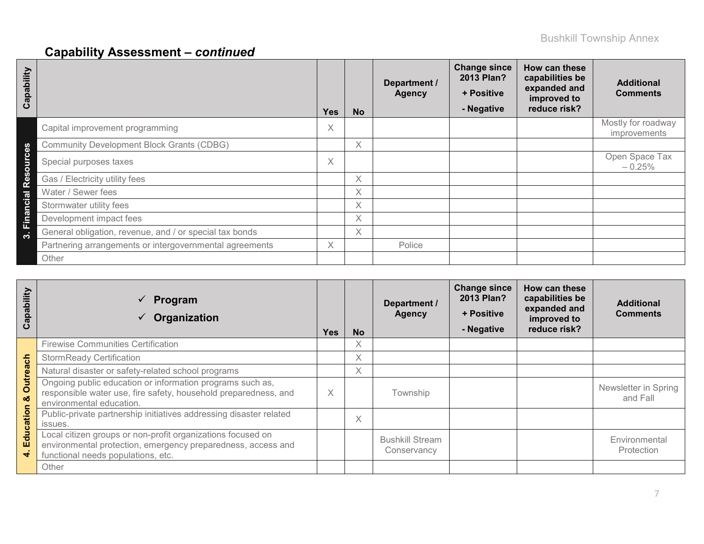# **Capability Assessment –** *continued*

| Capability        |                                                         | <b>Yes</b> | <b>No</b> | Department /<br><b>Agency</b> | <b>Change since</b><br>2013 Plan?<br>+ Positive<br>- Negative | How can these<br>capabilities be<br>expanded and<br>improved to<br>reduce risk? | <b>Additional</b><br><b>Comments</b>      |
|-------------------|---------------------------------------------------------|------------|-----------|-------------------------------|---------------------------------------------------------------|---------------------------------------------------------------------------------|-------------------------------------------|
|                   | Capital improvement programming                         | X          |           |                               |                                                               |                                                                                 | Mostly for roadway<br><i>improvements</i> |
| <u>ဇိ</u>         | <b>Community Development Block Grants (CDBG)</b>        |            | X         |                               |                                                               |                                                                                 |                                           |
| $\bullet$<br>burg | Special purposes taxes                                  | X          |           |                               |                                                               |                                                                                 | Open Space Tax<br>$-0.25%$                |
| 8g<br>ě           | Gas / Electricity utility fees                          |            | Χ         |                               |                                                               |                                                                                 |                                           |
|                   | Water / Sewer fees                                      |            | X         |                               |                                                               |                                                                                 |                                           |
| ncial             | Stormwater utility fees                                 |            | X         |                               |                                                               |                                                                                 |                                           |
| Finai             | Development impact fees                                 |            | X         |                               |                                                               |                                                                                 |                                           |
| ო                 | General obligation, revenue, and / or special tax bonds |            | $\times$  |                               |                                                               |                                                                                 |                                           |
|                   | Partnering arrangements or intergovernmental agreements | X.         |           | Police                        |                                                               |                                                                                 |                                           |
|                   | Other                                                   |            |           |                               |                                                               |                                                                                 |                                           |

| Capability    | Program<br>$\checkmark$<br>Organization                                                                                                                           | <b>Yes</b> | <b>No</b> | Department /<br><b>Agency</b>         | <b>Change since</b><br>2013 Plan?<br>+ Positive<br>- Negative | How can these<br>capabilities be<br>expanded and<br>improved to<br>reduce risk? | <b>Additional</b><br><b>Comments</b> |
|---------------|-------------------------------------------------------------------------------------------------------------------------------------------------------------------|------------|-----------|---------------------------------------|---------------------------------------------------------------|---------------------------------------------------------------------------------|--------------------------------------|
|               | <b>Firewise Communities Certification</b>                                                                                                                         |            | $\chi$    |                                       |                                                               |                                                                                 |                                      |
|               | <b>StormReady Certification</b>                                                                                                                                   |            | $\chi$    |                                       |                                                               |                                                                                 |                                      |
|               | Natural disaster or safety-related school programs                                                                                                                |            | Χ         |                                       |                                                               |                                                                                 |                                      |
| Outreach<br>ಹ | Ongoing public education or information programs such as,<br>responsible water use, fire safety, household preparedness, and<br>environmental education.          | X          |           | Township                              |                                                               |                                                                                 | Newsletter in Spring<br>and Fall     |
| Education     | Public-private partnership initiatives addressing disaster related<br>issues.                                                                                     |            | Χ         |                                       |                                                               |                                                                                 |                                      |
| ₩             | Local citizen groups or non-profit organizations focused on<br>environmental protection, emergency preparedness, access and<br>functional needs populations, etc. |            |           | <b>Bushkill Stream</b><br>Conservancy |                                                               |                                                                                 | Environmental<br>Protection          |
|               | Other                                                                                                                                                             |            |           |                                       |                                                               |                                                                                 |                                      |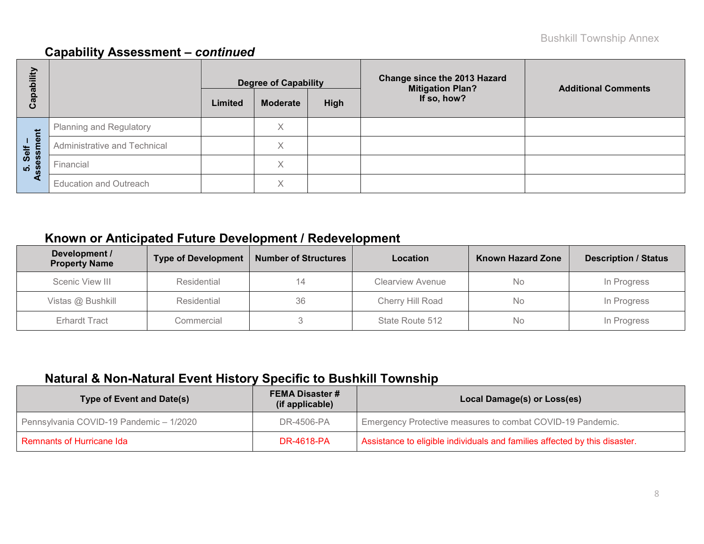## **Capability Assessment –** *continued*

| bility       |                               |         | <b>Degree of Capability</b> |      | <b>Change since the 2013 Hazard</b><br><b>Mitigation Plan?</b> | <b>Additional Comments</b> |  |
|--------------|-------------------------------|---------|-----------------------------|------|----------------------------------------------------------------|----------------------------|--|
| Capat        |                               | Limited | <b>Moderate</b>             | High | If so, how?                                                    |                            |  |
|              | Planning and Regulatory       |         | Χ                           |      |                                                                |                            |  |
| ment<br>Self | Administrative and Technical  |         | X                           |      |                                                                |                            |  |
| 5. Sel<br>m  | Financial                     |         | $\checkmark$<br>⋏           |      |                                                                |                            |  |
| ⋖            | <b>Education and Outreach</b> |         | X                           |      |                                                                |                            |  |

# **Known or Anticipated Future Development / Redevelopment**

| Development /<br><b>Property Name</b> | <b>Type of Development</b> | <b>Number of Structures</b> | Location                | <b>Known Hazard Zone</b> | <b>Description / Status</b> |
|---------------------------------------|----------------------------|-----------------------------|-------------------------|--------------------------|-----------------------------|
| Scenic View III                       | Residential                | 14                          | <b>Clearview Avenue</b> | No                       | In Progress                 |
| Vistas @ Bushkill                     | Residential                | 36                          | Cherry Hill Road        | No                       | In Progress                 |
| <b>Erhardt Tract</b>                  | Commercial                 |                             | State Route 512         | No                       | In Progress                 |

# **Natural & Non-Natural Event History Specific to Bushkill Township**

| <b>Type of Event and Date(s)</b>        | <b>FEMA Disaster #</b><br>(if applicable) | Local Damage(s) or Loss(es)                                                |  |  |  |  |
|-----------------------------------------|-------------------------------------------|----------------------------------------------------------------------------|--|--|--|--|
| Pennsylvania COVID-19 Pandemic - 1/2020 | DR-4506-PA                                | Emergency Protective measures to combat COVID-19 Pandemic.                 |  |  |  |  |
| <b>Remnants of Hurricane Ida</b>        | <b>DR-4618-PA</b>                         | Assistance to eligible individuals and families affected by this disaster. |  |  |  |  |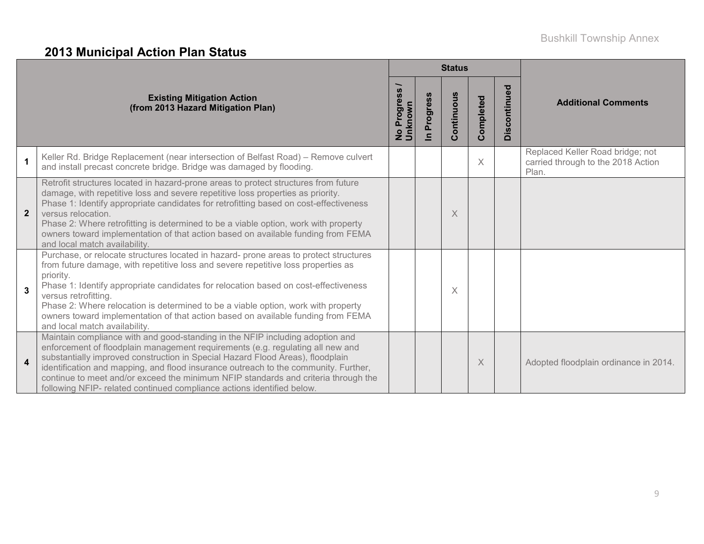# **2013 Municipal Action Plan Status**

|                         |                                                                                                                                                                                                                                                                                                                                                                                                                                                                                                                  |                                 |                                     | <b>Status</b> |           |              |                                                                                 |  |
|-------------------------|------------------------------------------------------------------------------------------------------------------------------------------------------------------------------------------------------------------------------------------------------------------------------------------------------------------------------------------------------------------------------------------------------------------------------------------------------------------------------------------------------------------|---------------------------------|-------------------------------------|---------------|-----------|--------------|---------------------------------------------------------------------------------|--|
|                         | <b>Existing Mitigation Action</b><br>(from 2013 Hazard Mitigation Plan)                                                                                                                                                                                                                                                                                                                                                                                                                                          | Progres<br>No Progre<br>Unknown | Progress<br>$\overline{\mathbf{a}}$ | Continuous    | Completed | Discontinued | <b>Additional Comments</b>                                                      |  |
| $\blacktriangleleft$    | Keller Rd. Bridge Replacement (near intersection of Belfast Road) - Remove culvert<br>and install precast concrete bridge. Bridge was damaged by flooding.                                                                                                                                                                                                                                                                                                                                                       |                                 |                                     |               | $\times$  |              | Replaced Keller Road bridge; not<br>carried through to the 2018 Action<br>Plan. |  |
| $\mathbf{2}$            | Retrofit structures located in hazard-prone areas to protect structures from future<br>damage, with repetitive loss and severe repetitive loss properties as priority.<br>Phase 1: Identify appropriate candidates for retrofitting based on cost-effectiveness<br>versus relocation.<br>Phase 2: Where retrofitting is determined to be a viable option, work with property<br>owners toward implementation of that action based on available funding from FEMA<br>and local match availability.                |                                 |                                     | X             |           |              |                                                                                 |  |
| $\mathbf{3}$            | Purchase, or relocate structures located in hazard- prone areas to protect structures<br>from future damage, with repetitive loss and severe repetitive loss properties as<br>priority.<br>Phase 1: Identify appropriate candidates for relocation based on cost-effectiveness<br>versus retrofitting.<br>Phase 2: Where relocation is determined to be a viable option, work with property<br>owners toward implementation of that action based on available funding from FEMA<br>and local match availability. |                                 |                                     | X             |           |              |                                                                                 |  |
| $\overline{\mathbf{4}}$ | Maintain compliance with and good-standing in the NFIP including adoption and<br>enforcement of floodplain management requirements (e.g. regulating all new and<br>substantially improved construction in Special Hazard Flood Areas), floodplain<br>identification and mapping, and flood insurance outreach to the community. Further,<br>continue to meet and/or exceed the minimum NFIP standards and criteria through the<br>following NFIP- related continued compliance actions identified below.         |                                 |                                     |               | $\times$  |              | Adopted floodplain ordinance in 2014.                                           |  |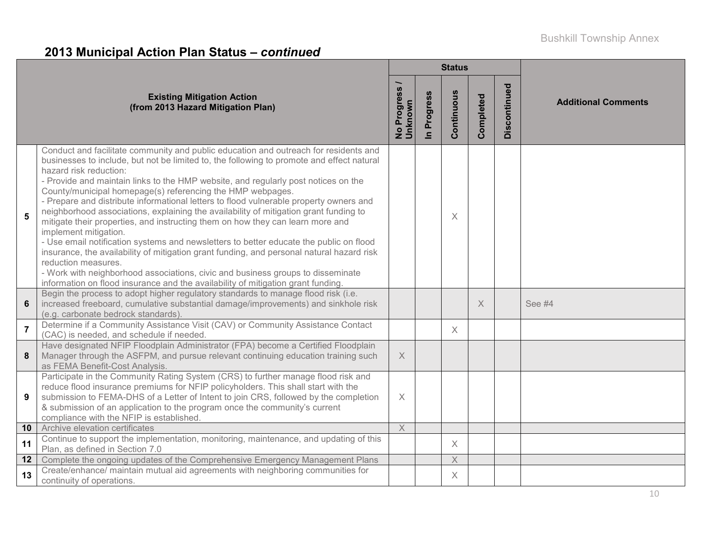# **2013 Municipal Action Plan Status –** *continued*

|                |                                                                                                                                                                                                                                                                                                                                                                                                                                                                                                                                                                                                                                                                                                                                                                                                                                                                                                                                                                                                                                                    |                                         |                            | <b>Status</b> |           |              |                            |
|----------------|----------------------------------------------------------------------------------------------------------------------------------------------------------------------------------------------------------------------------------------------------------------------------------------------------------------------------------------------------------------------------------------------------------------------------------------------------------------------------------------------------------------------------------------------------------------------------------------------------------------------------------------------------------------------------------------------------------------------------------------------------------------------------------------------------------------------------------------------------------------------------------------------------------------------------------------------------------------------------------------------------------------------------------------------------|-----------------------------------------|----------------------------|---------------|-----------|--------------|----------------------------|
|                | <b>Existing Mitigation Action</b><br>(from 2013 Hazard Mitigation Plan)                                                                                                                                                                                                                                                                                                                                                                                                                                                                                                                                                                                                                                                                                                                                                                                                                                                                                                                                                                            | <b>Progress</b><br>No Progre<br>Unknown | Progress<br>$\overline{=}$ | Continuous    | Completed | Discontinued | <b>Additional Comments</b> |
| 5              | Conduct and facilitate community and public education and outreach for residents and<br>businesses to include, but not be limited to, the following to promote and effect natural<br>hazard risk reduction:<br>- Provide and maintain links to the HMP website, and regularly post notices on the<br>County/municipal homepage(s) referencing the HMP webpages.<br>- Prepare and distribute informational letters to flood vulnerable property owners and<br>neighborhood associations, explaining the availability of mitigation grant funding to<br>mitigate their properties, and instructing them on how they can learn more and<br>implement mitigation.<br>- Use email notification systems and newsletters to better educate the public on flood<br>insurance, the availability of mitigation grant funding, and personal natural hazard risk<br>reduction measures.<br>- Work with neighborhood associations, civic and business groups to disseminate<br>information on flood insurance and the availability of mitigation grant funding. |                                         |                            | $\times$      |           |              |                            |
| $6\phantom{1}$ | Begin the process to adopt higher regulatory standards to manage flood risk (i.e.<br>increased freeboard, cumulative substantial damage/improvements) and sinkhole risk<br>(e.g. carbonate bedrock standards).                                                                                                                                                                                                                                                                                                                                                                                                                                                                                                                                                                                                                                                                                                                                                                                                                                     |                                         |                            |               | $\times$  |              | See #4                     |
| $\overline{7}$ | Determine if a Community Assistance Visit (CAV) or Community Assistance Contact<br>(CAC) is needed, and schedule if needed.                                                                                                                                                                                                                                                                                                                                                                                                                                                                                                                                                                                                                                                                                                                                                                                                                                                                                                                        |                                         |                            | $\times$      |           |              |                            |
| 8              | Have designated NFIP Floodplain Administrator (FPA) become a Certified Floodplain<br>Manager through the ASFPM, and pursue relevant continuing education training such<br>as FEMA Benefit-Cost Analysis.                                                                                                                                                                                                                                                                                                                                                                                                                                                                                                                                                                                                                                                                                                                                                                                                                                           | $\times$                                |                            |               |           |              |                            |
| 9              | Participate in the Community Rating System (CRS) to further manage flood risk and<br>reduce flood insurance premiums for NFIP policyholders. This shall start with the<br>submission to FEMA-DHS of a Letter of Intent to join CRS, followed by the completion<br>& submission of an application to the program once the community's current<br>compliance with the NFIP is established.                                                                                                                                                                                                                                                                                                                                                                                                                                                                                                                                                                                                                                                           | $\times$                                |                            |               |           |              |                            |
| 10             | Archive elevation certificates                                                                                                                                                                                                                                                                                                                                                                                                                                                                                                                                                                                                                                                                                                                                                                                                                                                                                                                                                                                                                     | $\overline{X}$                          |                            |               |           |              |                            |
| 11             | Continue to support the implementation, monitoring, maintenance, and updating of this<br>Plan, as defined in Section 7.0                                                                                                                                                                                                                                                                                                                                                                                                                                                                                                                                                                                                                                                                                                                                                                                                                                                                                                                           |                                         |                            | $\times$      |           |              |                            |
| 12             | Complete the ongoing updates of the Comprehensive Emergency Management Plans                                                                                                                                                                                                                                                                                                                                                                                                                                                                                                                                                                                                                                                                                                                                                                                                                                                                                                                                                                       |                                         |                            | $\times$      |           |              |                            |
| 13             | Create/enhance/ maintain mutual aid agreements with neighboring communities for<br>continuity of operations.                                                                                                                                                                                                                                                                                                                                                                                                                                                                                                                                                                                                                                                                                                                                                                                                                                                                                                                                       |                                         |                            | $\times$      |           |              |                            |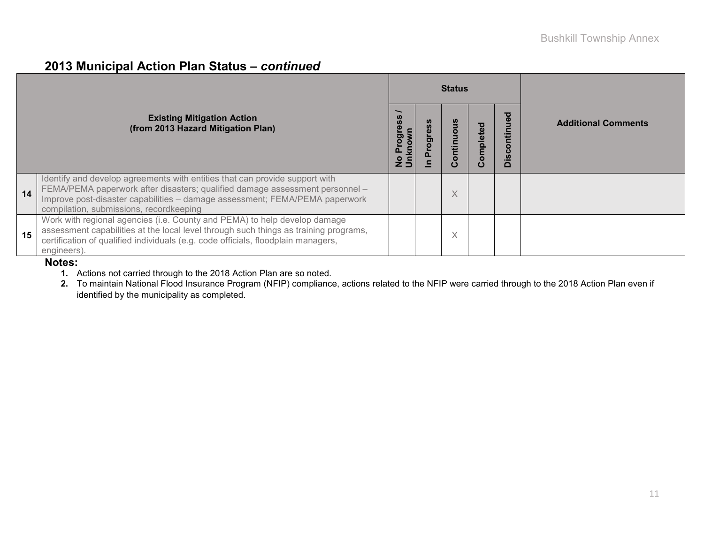# **2013 Municipal Action Plan Status –** *continued*

|    |                                                                                                                                                                                                                                                                                       |        |    | <b>Status</b>          |           |                                                                         |                            |
|----|---------------------------------------------------------------------------------------------------------------------------------------------------------------------------------------------------------------------------------------------------------------------------------------|--------|----|------------------------|-----------|-------------------------------------------------------------------------|----------------------------|
|    | <b>Existing Mitigation Action</b><br>(from 2013 Hazard Mitigation Plan)                                                                                                                                                                                                               | 0<br>Ó | ರಾ | ontinuo<br>$\mathbf C$ | Completed | ਠ<br>$\mathbf 0$<br>Ē<br>$\circ$<br>$\mathbf c$<br><u>ທ</u><br>$\Omega$ | <b>Additional Comments</b> |
| 14 | Identify and develop agreements with entities that can provide support with<br>FEMA/PEMA paperwork after disasters; qualified damage assessment personnel -<br>Improve post-disaster capabilities - damage assessment; FEMA/PEMA paperwork<br>compilation, submissions, recordkeeping |        |    | $\times$               |           |                                                                         |                            |
| 15 | Work with regional agencies (i.e. County and PEMA) to help develop damage<br>assessment capabilities at the local level through such things as training programs,<br>certification of qualified individuals (e.g. code officials, floodplain managers,<br>engineers).                 |        |    | X                      |           |                                                                         |                            |

#### **Notes:**

**1.** Actions not carried through to the 2018 Action Plan are so noted.

**2.** To maintain National Flood Insurance Program (NFIP) compliance, actions related to the NFIP were carried through to the 2018 Action Plan even if identified by the municipality as completed.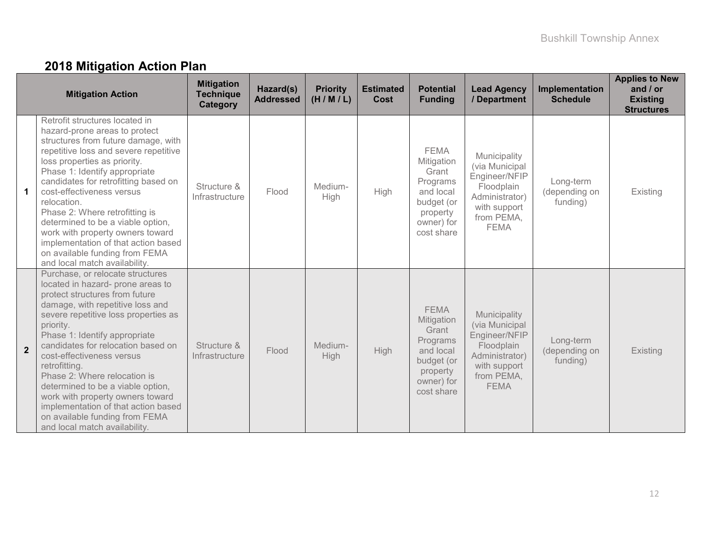# **2018 Mitigation Action Plan**

|                | <b>Mitigation Action</b>                                                                                                                                                                                                                                                                                                                                                                                                                                                                                                                 | <b>Mitigation</b><br><b>Technique</b><br><b>Category</b> | Hazard(s)<br><b>Addressed</b> | <b>Priority</b><br>(H/M/L) | <b>Estimated</b><br><b>Cost</b> | <b>Potential</b><br><b>Funding</b>                                                                                | <b>Lead Agency</b><br>/ Department                                                                                           | Implementation<br><b>Schedule</b>      | <b>Applies to New</b><br>and $/$ or<br><b>Existing</b><br><b>Structures</b> |
|----------------|------------------------------------------------------------------------------------------------------------------------------------------------------------------------------------------------------------------------------------------------------------------------------------------------------------------------------------------------------------------------------------------------------------------------------------------------------------------------------------------------------------------------------------------|----------------------------------------------------------|-------------------------------|----------------------------|---------------------------------|-------------------------------------------------------------------------------------------------------------------|------------------------------------------------------------------------------------------------------------------------------|----------------------------------------|-----------------------------------------------------------------------------|
| $\mathbf 1$    | Retrofit structures located in<br>hazard-prone areas to protect<br>structures from future damage, with<br>repetitive loss and severe repetitive<br>loss properties as priority.<br>Phase 1: Identify appropriate<br>candidates for retrofitting based on<br>cost-effectiveness versus<br>relocation.<br>Phase 2: Where retrofitting is<br>determined to be a viable option,<br>work with property owners toward<br>implementation of that action based<br>on available funding from FEMA<br>and local match availability.                | Structure &<br>Infrastructure                            | Flood                         | Medium-<br>High            | High                            | <b>FEMA</b><br>Mitigation<br>Grant<br>Programs<br>and local<br>budget (or<br>property<br>owner) for<br>cost share | Municipality<br>(via Municipal<br>Engineer/NFIP<br>Floodplain<br>Administrator)<br>with support<br>from PEMA,<br><b>FEMA</b> | Long-term<br>(depending on<br>funding) | Existing                                                                    |
| $\overline{2}$ | Purchase, or relocate structures<br>located in hazard- prone areas to<br>protect structures from future<br>damage, with repetitive loss and<br>severe repetitive loss properties as<br>priority.<br>Phase 1: Identify appropriate<br>candidates for relocation based on<br>cost-effectiveness versus<br>retrofitting.<br>Phase 2: Where relocation is<br>determined to be a viable option,<br>work with property owners toward<br>implementation of that action based<br>on available funding from FEMA<br>and local match availability. | Structure &<br>Infrastructure                            | Flood                         | Medium-<br>High            | <b>High</b>                     | <b>FEMA</b><br>Mitigation<br>Grant<br>Programs<br>and local<br>budget (or<br>property<br>owner) for<br>cost share | Municipality<br>(via Municipal<br>Engineer/NFIP<br>Floodplain<br>Administrator)<br>with support<br>from PEMA,<br><b>FEMA</b> | Long-term<br>(depending on<br>funding) | Existing                                                                    |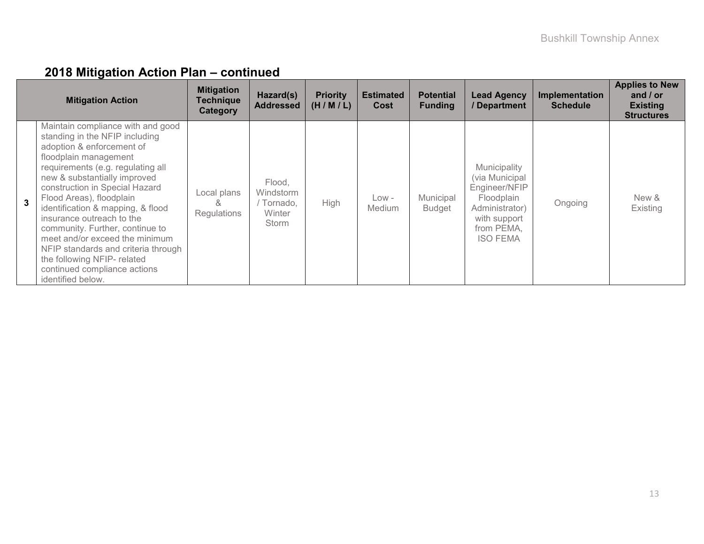|              | <b>Mitigation Action</b>                                                                                                                                                                                                                                                                                                                                                                                                                                                                                                       | <b>Mitigation</b><br><b>Technique</b><br>Category | Hazard(s)<br><b>Addressed</b>                      | <b>Priority</b><br>(H/M/L) | <b>Estimated</b><br>Cost | <b>Potential</b><br><b>Funding</b> | <b>Lead Agency</b><br>/ Department                                                                                               | Implementation<br><b>Schedule</b> | <b>Applies to New</b><br>and $/$ or<br><b>Existing</b><br><b>Structures</b> |
|--------------|--------------------------------------------------------------------------------------------------------------------------------------------------------------------------------------------------------------------------------------------------------------------------------------------------------------------------------------------------------------------------------------------------------------------------------------------------------------------------------------------------------------------------------|---------------------------------------------------|----------------------------------------------------|----------------------------|--------------------------|------------------------------------|----------------------------------------------------------------------------------------------------------------------------------|-----------------------------------|-----------------------------------------------------------------------------|
| $\mathbf{R}$ | Maintain compliance with and good<br>standing in the NFIP including<br>adoption & enforcement of<br>floodplain management<br>requirements (e.g. regulating all<br>new & substantially improved<br>construction in Special Hazard<br>Flood Areas), floodplain<br>identification & mapping, & flood<br>insurance outreach to the<br>community. Further, continue to<br>meet and/or exceed the minimum<br>NFIP standards and criteria through<br>the following NFIP- related<br>continued compliance actions<br>identified below. | Local plans<br>&<br>Regulations                   | Flood,<br>Windstorm<br>Tornado,<br>Winter<br>Storm | High                       | Low -<br><b>Medium</b>   | Municipal<br><b>Budget</b>         | Municipality<br>(via Municipal<br>Engineer/NFIP<br>Floodplain<br>Administrator)<br>with support<br>from PEMA,<br><b>ISO FEMA</b> | Ongoing                           | New &<br>Existing                                                           |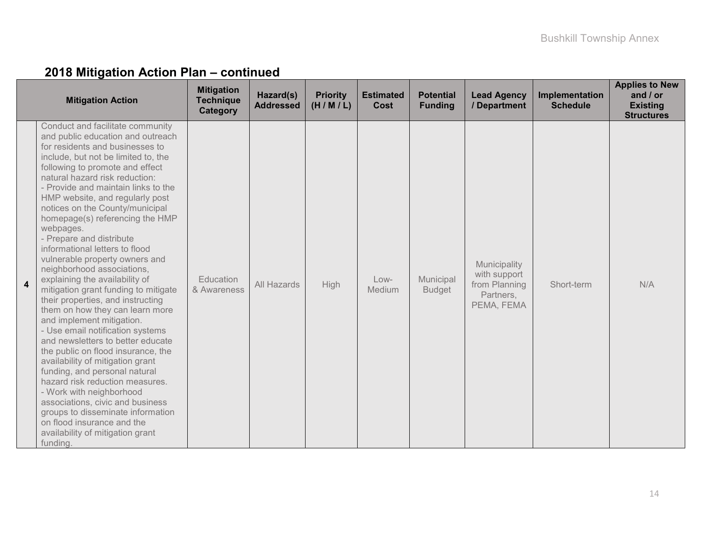| <b>Mitigation Action</b>                                                                                                                                                                                                                                                                                                                                                                                                                                                                                                                                                                                                                                                                                                                                                                                                                                                                                                                                                                                                                                                                                                            | <b>Mitigation</b><br><b>Technique</b><br>Category | Hazard(s)<br><b>Addressed</b> | <b>Priority</b><br>(H/M/L) | <b>Estimated</b><br><b>Cost</b> | <b>Potential</b><br><b>Funding</b> | <b>Lead Agency</b><br>/ Department                                       | Implementation<br><b>Schedule</b> | <b>Applies to New</b><br>and $/$ or<br><b>Existing</b><br><b>Structures</b> |
|-------------------------------------------------------------------------------------------------------------------------------------------------------------------------------------------------------------------------------------------------------------------------------------------------------------------------------------------------------------------------------------------------------------------------------------------------------------------------------------------------------------------------------------------------------------------------------------------------------------------------------------------------------------------------------------------------------------------------------------------------------------------------------------------------------------------------------------------------------------------------------------------------------------------------------------------------------------------------------------------------------------------------------------------------------------------------------------------------------------------------------------|---------------------------------------------------|-------------------------------|----------------------------|---------------------------------|------------------------------------|--------------------------------------------------------------------------|-----------------------------------|-----------------------------------------------------------------------------|
| Conduct and facilitate community<br>and public education and outreach<br>for residents and businesses to<br>include, but not be limited to, the<br>following to promote and effect<br>natural hazard risk reduction:<br>- Provide and maintain links to the<br>HMP website, and regularly post<br>notices on the County/municipal<br>homepage(s) referencing the HMP<br>webpages.<br>- Prepare and distribute<br>informational letters to flood<br>vulnerable property owners and<br>neighborhood associations,<br>explaining the availability of<br>$\overline{\mathbf{4}}$<br>mitigation grant funding to mitigate<br>their properties, and instructing<br>them on how they can learn more<br>and implement mitigation.<br>- Use email notification systems<br>and newsletters to better educate<br>the public on flood insurance, the<br>availability of mitigation grant<br>funding, and personal natural<br>hazard risk reduction measures.<br>- Work with neighborhood<br>associations, civic and business<br>groups to disseminate information<br>on flood insurance and the<br>availability of mitigation grant<br>funding. | Education<br>& Awareness                          | All Hazards                   | High                       | Low-<br><b>Medium</b>           | Municipal<br><b>Budget</b>         | Municipality<br>with support<br>from Planning<br>Partners,<br>PEMA, FEMA | Short-term                        | N/A                                                                         |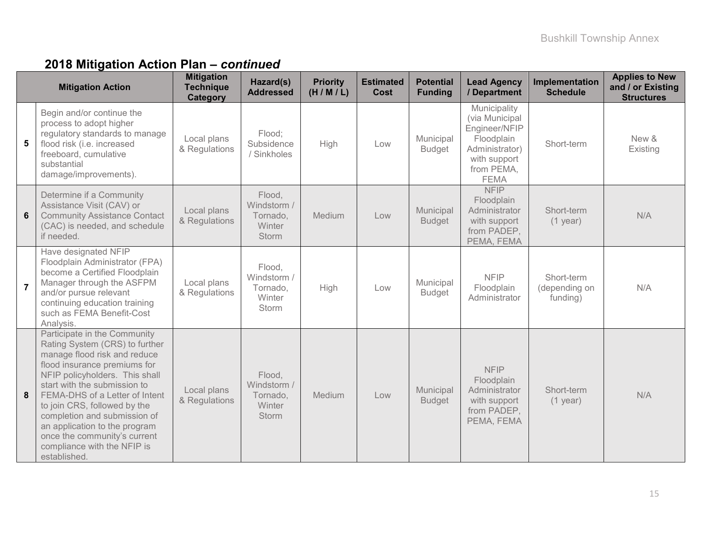|                | <b>Mitigation Action</b>                                                                                                                                                                                                                                                                                                                                                                                           | <b>Mitigation</b><br><b>Technique</b><br><b>Category</b> | Hazard(s)<br><b>Addressed</b>                               | <b>Priority</b><br>(H/M/L) | <b>Estimated</b><br>Cost | <b>Potential</b><br><b>Funding</b> | <b>Lead Agency</b><br>/ Department                                                                                           | Implementation<br><b>Schedule</b>       | <b>Applies to New</b><br>and / or Existing<br><b>Structures</b> |
|----------------|--------------------------------------------------------------------------------------------------------------------------------------------------------------------------------------------------------------------------------------------------------------------------------------------------------------------------------------------------------------------------------------------------------------------|----------------------------------------------------------|-------------------------------------------------------------|----------------------------|--------------------------|------------------------------------|------------------------------------------------------------------------------------------------------------------------------|-----------------------------------------|-----------------------------------------------------------------|
| 5              | Begin and/or continue the<br>process to adopt higher<br>regulatory standards to manage<br>flood risk (i.e. increased<br>freeboard, cumulative<br>substantial<br>damage/improvements).                                                                                                                                                                                                                              | Local plans<br>& Regulations                             | Flood:<br>Subsidence<br>/ Sinkholes                         | High                       | Low                      | Municipal<br><b>Budget</b>         | Municipality<br>(via Municipal<br>Engineer/NFIP<br>Floodplain<br>Administrator)<br>with support<br>from PEMA,<br><b>FEMA</b> | Short-term                              | New &<br>Existing                                               |
| 6              | Determine if a Community<br>Assistance Visit (CAV) or<br><b>Community Assistance Contact</b><br>(CAC) is needed, and schedule<br>if needed.                                                                                                                                                                                                                                                                        | Local plans<br>& Regulations                             | Flood,<br>Windstorm /<br>Tornado,<br>Winter<br><b>Storm</b> | Medium                     | Low                      | Municipal<br><b>Budget</b>         | <b>NFIP</b><br>Floodplain<br>Administrator<br>with support<br>from PADEP,<br>PEMA, FEMA                                      | Short-term<br>$(1$ year)                | N/A                                                             |
| $\overline{7}$ | Have designated NFIP<br>Floodplain Administrator (FPA)<br>become a Certified Floodplain<br>Manager through the ASFPM<br>and/or pursue relevant<br>continuing education training<br>such as FEMA Benefit-Cost<br>Analysis.                                                                                                                                                                                          | Local plans<br>& Regulations                             | Flood,<br>Windstorm /<br>Tornado,<br>Winter<br>Storm        | High                       | Low                      | Municipal<br><b>Budget</b>         | <b>NFIP</b><br>Floodplain<br>Administrator                                                                                   | Short-term<br>(depending on<br>funding) | N/A                                                             |
| 8              | Participate in the Community<br>Rating System (CRS) to further<br>manage flood risk and reduce<br>flood insurance premiums for<br>NFIP policyholders. This shall<br>start with the submission to<br>FEMA-DHS of a Letter of Intent<br>to join CRS, followed by the<br>completion and submission of<br>an application to the program<br>once the community's current<br>compliance with the NFIP is<br>established. | Local plans<br>& Regulations                             | Flood,<br>Windstorm /<br>Tornado,<br>Winter<br><b>Storm</b> | Medium                     | Low                      | Municipal<br><b>Budget</b>         | <b>NFIP</b><br>Floodplain<br>Administrator<br>with support<br>from PADEP,<br>PEMA, FEMA                                      | Short-term<br>$(1$ year)                | N/A                                                             |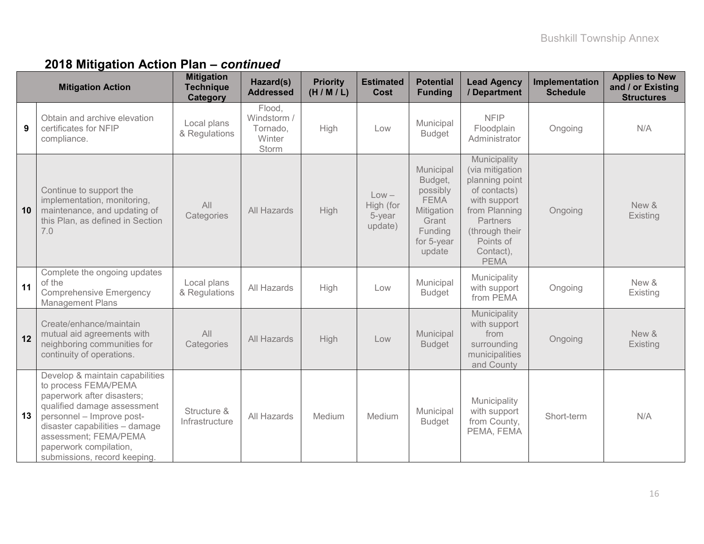|    | <b>Mitigation Action</b>                                                                                                                                                                                                                                               | <b>Mitigation</b><br><b>Technique</b><br><b>Category</b> | Hazard(s)<br><b>Addressed</b>                        | <b>Priority</b><br>(H/M/L) | <b>Estimated</b><br><b>Cost</b>           | <b>Potential</b><br><b>Funding</b>                                                                        | <b>Lead Agency</b><br>/ Department                                                                                                                                        | Implementation<br><b>Schedule</b> | <b>Applies to New</b><br>and / or Existing<br><b>Structures</b> |
|----|------------------------------------------------------------------------------------------------------------------------------------------------------------------------------------------------------------------------------------------------------------------------|----------------------------------------------------------|------------------------------------------------------|----------------------------|-------------------------------------------|-----------------------------------------------------------------------------------------------------------|---------------------------------------------------------------------------------------------------------------------------------------------------------------------------|-----------------------------------|-----------------------------------------------------------------|
| 9  | Obtain and archive elevation<br>certificates for NFIP<br>compliance.                                                                                                                                                                                                   | Local plans<br>& Regulations                             | Flood,<br>Windstorm /<br>Tornado,<br>Winter<br>Storm | High                       | Low                                       | Municipal<br><b>Budget</b>                                                                                | <b>NFIP</b><br>Floodplain<br>Administrator                                                                                                                                | Ongoing                           | N/A                                                             |
| 10 | Continue to support the<br>implementation, monitoring,<br>maintenance, and updating of<br>this Plan, as defined in Section<br>7.0                                                                                                                                      | All<br>Categories                                        | All Hazards                                          | High                       | $Low -$<br>High (for<br>5-year<br>update) | Municipal<br>Budget,<br>possibly<br><b>FEMA</b><br>Mitigation<br>Grant<br>Funding<br>for 5-year<br>update | Municipality<br>(via mitigation<br>planning point<br>of contacts)<br>with support<br>from Planning<br>Partners<br>(through their<br>Points of<br>Contact),<br><b>PEMA</b> | Ongoing                           | New &<br>Existing                                               |
| 11 | Complete the ongoing updates<br>of the<br><b>Comprehensive Emergency</b><br><b>Management Plans</b>                                                                                                                                                                    | Local plans<br>& Regulations                             | All Hazards                                          | High                       | Low                                       | Municipal<br><b>Budget</b>                                                                                | Municipality<br>with support<br>from PEMA                                                                                                                                 | Ongoing                           | New &<br>Existing                                               |
| 12 | Create/enhance/maintain<br>mutual aid agreements with<br>neighboring communities for<br>continuity of operations.                                                                                                                                                      | All<br>Categories                                        | All Hazards                                          | High                       | Low                                       | Municipal<br><b>Budget</b>                                                                                | Municipality<br>with support<br>from<br>surrounding<br>municipalities<br>and County                                                                                       | Ongoing                           | New &<br>Existing                                               |
| 13 | Develop & maintain capabilities<br>to process FEMA/PEMA<br>paperwork after disasters;<br>qualified damage assessment<br>personnel - Improve post-<br>disaster capabilities - damage<br>assessment; FEMA/PEMA<br>paperwork compilation,<br>submissions, record keeping. | Structure &<br>Infrastructure                            | All Hazards                                          | Medium                     | Medium                                    | Municipal<br><b>Budget</b>                                                                                | Municipality<br>with support<br>from County,<br>PEMA, FEMA                                                                                                                | Short-term                        | N/A                                                             |